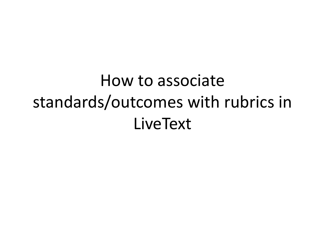How to associate standards/outcomes with rubrics in LiveText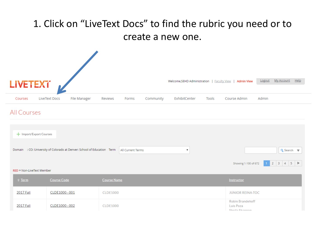## 1. Click on "LiveText Docs" to find the rubric you need or to create a new one.

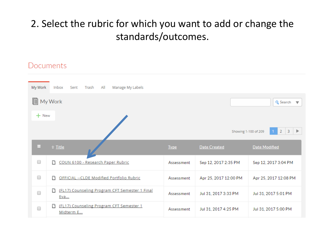## 2. Select the rubric for which you want to add or change the standards/outcomes.

### Documents

| My Work                                       | All<br>Manage My Labels<br>Inbox<br>Sent<br>Trash          |             |                       |                                     |  |  |  |
|-----------------------------------------------|------------------------------------------------------------|-------------|-----------------------|-------------------------------------|--|--|--|
| F<br>My Work<br>Q Search $\blacktriangledown$ |                                                            |             |                       |                                     |  |  |  |
| $+$ New                                       |                                                            |             |                       |                                     |  |  |  |
|                                               |                                                            |             | Showing 1-100 of 209  | $2 \mid 3 \mid \blacktriangleright$ |  |  |  |
| □                                             | <b>t</b> Title                                             | <b>Type</b> | <b>Date Created</b>   | <b>Date Modified</b>                |  |  |  |
| 0                                             | COUN 6100 - Research Paper Rubric<br>m.                    | Assessment  | Sep 12, 2017 2:35 PM  | Sep 12, 2017 3:04 PM                |  |  |  |
| 0                                             | OFFICIAL -- CLDE Modified Portfolio Rubric<br>n            | Assessment  | Apr 25, 2017 12:00 PM | Apr 25, 2017 12:08 PM               |  |  |  |
| 0                                             | (FL17) Counseling Program CFT Semester 1 Final<br>D<br>Eva | Assessment  | Jul 31, 2017 3:33 PM  | Jul 31, 2017 5:01 PM                |  |  |  |
| 0                                             | (FL17) Counseling Program CFT Semester 1<br>ہ<br>Midterm E | Assessment  | Jul 31, 2017 4:25 PM  | Jul 31, 2017 5:00 PM                |  |  |  |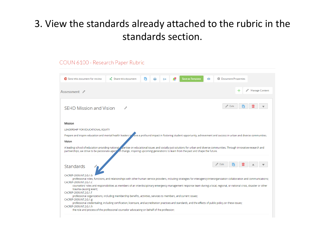## 3. View the standards already attached to the rubric in the standards section.

### COUN 6100 - Research Paper Rubric

| <b>卷 Document Properties</b><br>Send this document for review<br>Share this document<br>▄<br><b>Save as Template</b><br>$\bullet$<br>$\mapsto$                                                                                                                                                                           |
|--------------------------------------------------------------------------------------------------------------------------------------------------------------------------------------------------------------------------------------------------------------------------------------------------------------------------|
| Manage Content<br>$\pm$<br>Assessment 2                                                                                                                                                                                                                                                                                  |
| Edit<br><b>SEHD Mission and Vision</b>                                                                                                                                                                                                                                                                                   |
| Mission                                                                                                                                                                                                                                                                                                                  |
| LEADERSHIP FOR EDUCATIONAL EQUITY                                                                                                                                                                                                                                                                                        |
| Prepare and inspire education and mental health leaders to all leaders to approfound impact in fostering student opportunity, achievement and success in urban and diverse communities.                                                                                                                                  |
| Vision                                                                                                                                                                                                                                                                                                                   |
| A leading school of education providing national expertise on educational issues and socially-just solutions for urban and diverse communities. Through innovative research and<br>partnerships, we strive to be passionate agent of change, inspiring upcoming generations to learn from the past and shape the future. |
|                                                                                                                                                                                                                                                                                                                          |
| Edit<br><b>Standards</b>                                                                                                                                                                                                                                                                                                 |
| CACREP-2009.INT.2.G.1.b<br>professional roles, functions, and relationships with other human service providers, including strategies for interagency/interorganization collaboration and communications;                                                                                                                 |
| CACREP-2009.INT.2.G.1.c<br>counselors' roles and responsibilities as members of an interdisciplinary emergency management response team during a local, regional, or national crisis, disaster or other                                                                                                                  |
| trauma-causing event;<br>CACREP-2009.INT.2.G.1.f                                                                                                                                                                                                                                                                         |
| professional organizations, including membership benefits, activities, services to members, and current issues;<br>CACREP-2009.INT.2.G.1.g                                                                                                                                                                               |
| professional credentialing, including certification, licensure, and accreditation practices and standards, and the effects of public policy on these issues;<br>CACREP-2009.INT.2.G.1.h                                                                                                                                  |
| the role and process of the professional counselor advocating on behalf of the profession;                                                                                                                                                                                                                               |
|                                                                                                                                                                                                                                                                                                                          |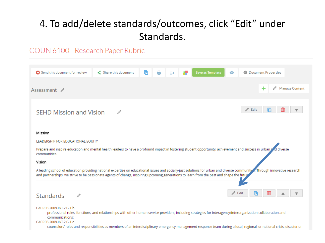## 4. To add/delete standards/outcomes, click "Edit" under Standards.

### COUN 6100 - Research Paper Rubric

| А<br>凾<br>登 Document Properties<br>Send this document for review<br>$\langle$ Share this document<br>Save as Template<br>$\bullet$<br>$\Rightarrow$                                                                                                                                                                                                                                                              |
|------------------------------------------------------------------------------------------------------------------------------------------------------------------------------------------------------------------------------------------------------------------------------------------------------------------------------------------------------------------------------------------------------------------|
| $\pm$<br>Manage Content<br>Assessment $\mathbb Z$                                                                                                                                                                                                                                                                                                                                                                |
| v<br>Edit<br><b>SEHD Mission and Vision</b>                                                                                                                                                                                                                                                                                                                                                                      |
| Mission                                                                                                                                                                                                                                                                                                                                                                                                          |
| LEADERSHIP FOR EDUCATIONAL EQUITY                                                                                                                                                                                                                                                                                                                                                                                |
| Prepare and inspire education and mental health leaders to have a profound impact in fostering student opportunity, achievement and success in urban and diverse<br>communities.                                                                                                                                                                                                                                 |
| Vision                                                                                                                                                                                                                                                                                                                                                                                                           |
| A leading school of education providing national expertise on educational issues and socially-just solutions for urban and diverse communition. Through innovative research<br>and partnerships, we strive to be passionate agents of change, inspiring upcoming generations to learn from the past and shape the futur                                                                                          |
| Edit<br>I٦<br><b>Standards</b>                                                                                                                                                                                                                                                                                                                                                                                   |
| CACREP-2009.INT.2.G.1.b<br>professional roles, functions, and relationships with other human service providers, including strategies for interagency/interorganization collaboration and<br>communications:<br>CACREP-2009.INT.2.G.1.c<br>counselors' roles and responsibilities as members of an interdisciplinary emergency management response team during a local, regional, or national crisis, disaster or |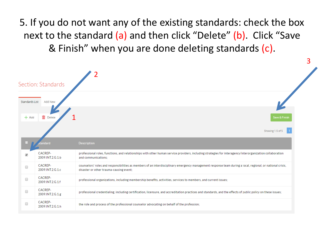5. If you do not want any of the existing standards: check the box next to the standard (a) and then click "Delete" (b). Click "Save & Finish" when you are done deleting standards (c).

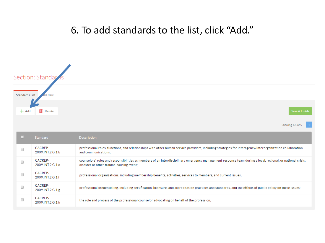### . To add standards to the list, click "Add."

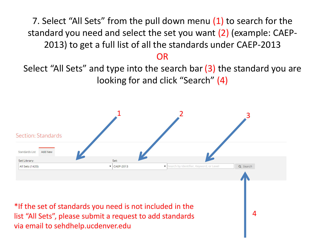7. Select "All Sets" from the pull down menu (1) to search for the standard you need and select the set you want (2) (example: CAEP-2013) to get a full list of all the standards under CAEP-2013

### OR

Select "All Sets" and type into the search bar (3) the standard you are looking for and click "Search" (4)

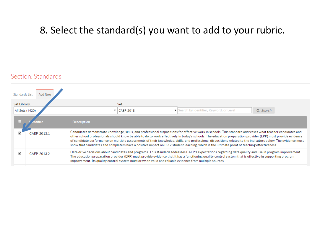### 8. Select the standard(s) you want to add to your rubric.

### Section: Standards

| <b>Standards List</b>           | Add New     |                                                                                                                                                                                                                                                                                                                                                                                                                                                                                                                                                                                                                                           |
|---------------------------------|-------------|-------------------------------------------------------------------------------------------------------------------------------------------------------------------------------------------------------------------------------------------------------------------------------------------------------------------------------------------------------------------------------------------------------------------------------------------------------------------------------------------------------------------------------------------------------------------------------------------------------------------------------------------|
| Set Library:<br>All Sets (1420) |             | Set:<br>Search by Identifier, Keyword, or Level<br>Q Search<br>$\blacktriangledown$   CAEP-2013                                                                                                                                                                                                                                                                                                                                                                                                                                                                                                                                           |
|                                 | ntifier     | <b>Description</b>                                                                                                                                                                                                                                                                                                                                                                                                                                                                                                                                                                                                                        |
|                                 | CAFP-20131  | Candidates demonstrate knowledge, skills, and professional dispositions for effective work in schools: This standard addresses what teacher candidates and<br>other school professionals should know be able to do to work effectively in today's schools. The education preparation provider (EPP) must provide evidence<br>of candidate performance on multiple assessments of their knowledge, skills, and professional dispositions related to the indicators below. The evidence must<br>show that candidates and completers have a positive impact on P-12 student learning, which is the ultimate proof of teaching effectiveness. |
|                                 | CAFP-2013.2 | Data drive decisions about candidates and programs: This standard addresses CAEP's expectations regarding data quality and use in program improvement.<br>The education preparation provider (EPP) must provide evidence that it has a functioning quality control system that is effective in supporting program<br>improvement. Its quality control system must draw on valid and reliable evidence from multiple sources.                                                                                                                                                                                                              |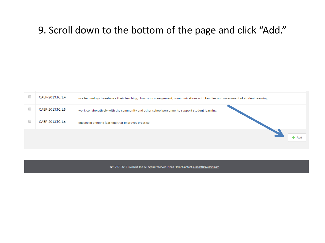### 9. Scroll down to the bottom of the page and click "Add."

| CAEP-2013.TC.1.4 | use technology to enhance their teaching, classroom management, communications with families and assessment of student learning |
|------------------|---------------------------------------------------------------------------------------------------------------------------------|
| CAEP-2013.TC.1.5 | work collaboratively with the community and other school personnel to support student learning                                  |
| CAEP-2013.TC.1.6 | engage in ongoing learning that improves practice                                                                               |
|                  | – Add                                                                                                                           |

### © 1997-2017 LiveText, Inc. All rights reserved. Need Help? Contact support@livetext.com.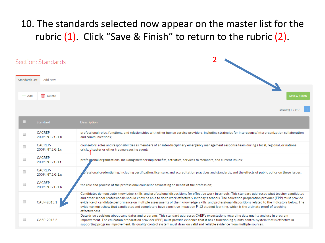## 10. The standards selected now appear on the master list for the rubric (1). Click "Save & Finish" to return to the rubric (2).

|                | Section: Standards          | 2                                                                                                                                                                                                                                                                                                                                                                                                                                                                                                                                                                                                                                            |
|----------------|-----------------------------|----------------------------------------------------------------------------------------------------------------------------------------------------------------------------------------------------------------------------------------------------------------------------------------------------------------------------------------------------------------------------------------------------------------------------------------------------------------------------------------------------------------------------------------------------------------------------------------------------------------------------------------------|
| Standards List | Add New                     |                                                                                                                                                                                                                                                                                                                                                                                                                                                                                                                                                                                                                                              |
| $+$ Add        | <b>III</b> Delete           | Save & Finish                                                                                                                                                                                                                                                                                                                                                                                                                                                                                                                                                                                                                                |
|                | <b>Standard</b>             | Showing 1-7 of 7<br><b>Description</b>                                                                                                                                                                                                                                                                                                                                                                                                                                                                                                                                                                                                       |
| □              | CACREP-<br>2009.INT.2.G.1.b | professional roles, functions, and relationships with other human service providers, including strategies for interagency/interorganization collaboration<br>and communications:                                                                                                                                                                                                                                                                                                                                                                                                                                                             |
| □              | CACREP-<br>2009.INT.2.G.1.c | counselors' roles and responsibilities as members of an interdisciplinary emergency management response team during a local, regional, or national<br>crisis, disaster or other trauma-causing event;                                                                                                                                                                                                                                                                                                                                                                                                                                        |
| □              | CACREP-<br>2009.INT.2.G.1.f | professional organizations, including membership benefits, activities, services to members, and current issues;                                                                                                                                                                                                                                                                                                                                                                                                                                                                                                                              |
| □              | CACREP-<br>2009.INT.2.G.1.g | ofessional credentialing, including certification, licensure, and accreditation practices and standards, and the effects of public policy on these issues;                                                                                                                                                                                                                                                                                                                                                                                                                                                                                   |
| 0              | CACREP-<br>2009.INT.2.G.1.h | the role and process of the professional counselor advocating on behalf of the profession;                                                                                                                                                                                                                                                                                                                                                                                                                                                                                                                                                   |
| 0              | CAEP-2013.1                 | Candidates demonstrate knowledge, skills, and professional dispositions for effective work in schools: This standard addresses what teacher candidates<br>and other school professionals should know be able to do to work effectively in today's schools. The education preparation provider (EPP) must provide<br>evidence of candidate performance on multiple assessments of their knowledge, skills, and professional dispositions related to the indicators below. The<br>evidence must show that candidates and completers have a positive impact on P-12 student learning, which is the ultimate proof of teaching<br>effectiveness. |
| □              | CAEP-2013.2                 | Data drive decisions about candidates and programs: This standard addresses CAEP's expectations regarding data quality and use in program<br>improvement. The education preparation provider (EPP) must provide evidence that it has a functioning quality control system that is effective in<br>supporting program improvement. Its quality control system must draw on valid and reliable evidence from multiple sources.                                                                                                                                                                                                                 |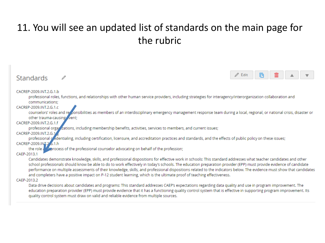## 11. You will see an updated list of standards on the main page for the rubric

| <b>Standards</b>                                                                                                                                                                                                                                                                                                                                                                                                                                                                                                                                                                                                                          | Edit |  |  |
|-------------------------------------------------------------------------------------------------------------------------------------------------------------------------------------------------------------------------------------------------------------------------------------------------------------------------------------------------------------------------------------------------------------------------------------------------------------------------------------------------------------------------------------------------------------------------------------------------------------------------------------------|------|--|--|
| CACREP-2009.INT.2.G.1.b<br>professional roles, functions, and relationships with other human service providers, including strategies for interagency/interorganization collaboration and<br>communications;                                                                                                                                                                                                                                                                                                                                                                                                                               |      |  |  |
| CACREP-2009.INT.2.G.1.c<br>counselors' roles and reponsibilities as members of an interdisciplinary emergency management response team during a local, regional, or national crisis, disaster or<br>other trauma-causing vent;<br>CACREP-2009.INT.2.G.1.f                                                                                                                                                                                                                                                                                                                                                                                 |      |  |  |
| professional orgal izations, including membership benefits, activities, services to members, and current issues;<br>CACREP-2009.INT.2.G.1<br>professional gedentialing, including certification, licensure, and accreditation practices and standards, and the effects of public policy on these issues;                                                                                                                                                                                                                                                                                                                                  |      |  |  |
| CACREP-2009.INT.2 6.1.h<br>the role and process of the professional counselor advocating on behalf of the profession;<br>CAEP-2013.1                                                                                                                                                                                                                                                                                                                                                                                                                                                                                                      |      |  |  |
| Candidates demonstrate knowledge, skills, and professional dispositions for effective work in schools: This standard addresses what teacher candidates and other<br>school professionals should know be able to do to work effectively in today's schools. The education preparation provider (EPP) must provide evidence of candidate<br>performance on multiple assessments of their knowledge, skills, and professional dispositions related to the indicators below. The evidence must show that candidates<br>and completers have a positive impact on P-12 student learning, which is the ultimate proof of teaching effectiveness. |      |  |  |
| CAEP-2013.2                                                                                                                                                                                                                                                                                                                                                                                                                                                                                                                                                                                                                               |      |  |  |
| Data drive decisions about candidates and programs: This standard addresses CAEP's expectations regarding data quality and use in program improvement. The<br>education preparation provider (EPP) must provide evidence that it has a functioning quality control system that is effective in supporting program improvement. Its<br>quality control system must draw on valid and reliable evidence from multiple sources.                                                                                                                                                                                                              |      |  |  |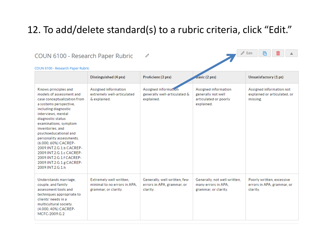### 12. To add/delete standard(s) to a rubric criteria, click "Edit."

 $\mathbb Z$  Edit

囨

### COUN 6100 - Research Paper Rubric

### $\mathscr{O}$

| <b>COUN 6100 - Research Paper Rubric</b>                                                                                                                                                                                                                                                                                                                                                                                                   |                                                                                 |                                                                        |                                                                                   |                                                                      |
|--------------------------------------------------------------------------------------------------------------------------------------------------------------------------------------------------------------------------------------------------------------------------------------------------------------------------------------------------------------------------------------------------------------------------------------------|---------------------------------------------------------------------------------|------------------------------------------------------------------------|-----------------------------------------------------------------------------------|----------------------------------------------------------------------|
|                                                                                                                                                                                                                                                                                                                                                                                                                                            | Distinguished (4 pts)                                                           | Proficient (3 pts)                                                     | $\sigma$ asic (2 pts)                                                             | Unsatisfactory (1 pt)                                                |
| Knows principles and<br>models of assessment and<br>case conceptualization from<br>a systems perspective.<br>including diagnostic<br>interviews, mental<br>diagnostic status<br>examinations, symptom<br>inventories, and<br>psychoeducational and<br>personality assessments.<br>(6.000, 60%) CACREP-<br>2009.INT.2.G.1.b CACREP-<br>2009.INT.2.G.1.c CACREP-<br>2009.INT.2.G.1.f CACREP-<br>2009.INT.2.G.1.g CACREP-<br>2009.INT.2.G.1.h | Assigned information<br>extremely well-articulated<br>& explained.              | Assigned information<br>generally well-articulated &<br>explained.     | Assigned information<br>generally not well<br>articulated or poorly<br>explained. | Assigned information not<br>explained or articulated, or<br>missing. |
| Understands marriage.<br>couple, and family<br>assessment tools and<br>techniques appropriate to<br>clients' needs in a<br>multicultural society.<br>(4.000, 40%) CACREP-<br>MCFC-2009.G.2                                                                                                                                                                                                                                                 | Extremely well written.<br>minimal to no errors in APA.<br>grammar, or clarity. | Generally, well written, few<br>errors in APA, grammar, or<br>clarity. | Generally, not well written,<br>many errors in APA.<br>grammar, or clarity.       | Poorly written, excessive<br>errors in APA, grammar, or<br>clarity.  |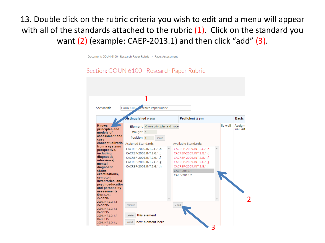13. Double click on the rubric criteria you wish to edit and a menu will appear with all of the standards attached to the rubric  $(1)$ . Click on the standard you want  $(2)$  (example: CAEP-2013.1) and then click "add"  $(3)$ .

Document: COUN 6100 - Research Paper Rubric > Page: Assessment

### Section: COUN 6100 - Research Paper Rubric

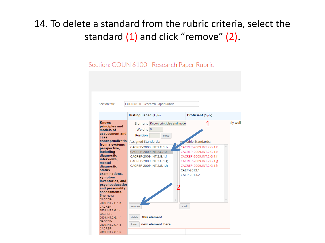## 14. To delete a standard from the rubric criteria, select the standard (1) and click "remove" (2).

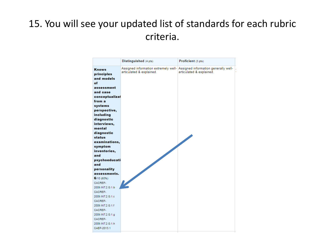## 15. You will see your updated list of standards for each rubric criteria.

|                                                                                                                                                                                                                                         | Distinguished (4 pts)                                            | Proficient (3 pts)                                               |
|-----------------------------------------------------------------------------------------------------------------------------------------------------------------------------------------------------------------------------------------|------------------------------------------------------------------|------------------------------------------------------------------|
| <b>Knows</b><br>principles<br>and models<br>of<br>assessment<br>and case<br>conceptualizat<br>from a<br>systems<br>perspective,<br>including<br>diagnostic<br>interviews,<br>mental<br>diagnostic<br>status<br>examinations,<br>symptom | Assigned information extremely well-<br>articulated & explained. | Assigned information generally well-<br>articulated & explained. |
| inventories,<br>and                                                                                                                                                                                                                     |                                                                  |                                                                  |
| psychoeducati                                                                                                                                                                                                                           |                                                                  |                                                                  |
| and                                                                                                                                                                                                                                     |                                                                  |                                                                  |
| personality                                                                                                                                                                                                                             |                                                                  |                                                                  |
| assessments.                                                                                                                                                                                                                            |                                                                  |                                                                  |
| 6/10(60%)                                                                                                                                                                                                                               |                                                                  |                                                                  |
| CACREP-                                                                                                                                                                                                                                 |                                                                  |                                                                  |
| 2009.INT.2.G.1.b                                                                                                                                                                                                                        |                                                                  |                                                                  |
| CACREP-                                                                                                                                                                                                                                 |                                                                  |                                                                  |
| 2009.INT.2.G.1.c                                                                                                                                                                                                                        |                                                                  |                                                                  |
| CACREP-                                                                                                                                                                                                                                 |                                                                  |                                                                  |
| 2009.INT.2.G.1.f                                                                                                                                                                                                                        |                                                                  |                                                                  |
| CACREP-                                                                                                                                                                                                                                 |                                                                  |                                                                  |
| 2009.INT.2.G.1.g                                                                                                                                                                                                                        |                                                                  |                                                                  |
| CACREP-                                                                                                                                                                                                                                 |                                                                  |                                                                  |
| 2009.INT.2.G.1.h                                                                                                                                                                                                                        |                                                                  |                                                                  |
| CAEP-2013.1                                                                                                                                                                                                                             |                                                                  |                                                                  |